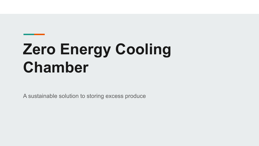# **Zero Energy Cooling Chamber**

A sustainable solution to storing excess produce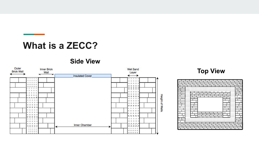### **What is a ZECC?**

**Contract Contract** 

#### **Side View**

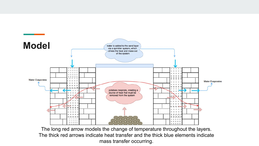

The long red arrow models the change of temperature throughout the layers. The thick red arrows indicate heat transfer and the thick blue elements indicate mass transfer occurring.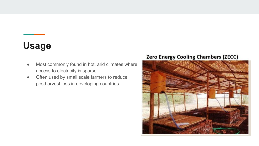# **Usage**

- Most commonly found in hot, arid climates where access to electricity is sparse
- Often used by small scale farmers to reduce postharvest loss in developing countries

#### **Zero Energy Cooling Chambers (ZECC)**

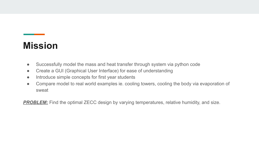# **Mission**

- Successfully model the mass and heat transfer through system via python code
- Create a GUI (Graphical User Interface) for ease of understanding
- Introduce simple concepts for first year students
- Compare model to real world examples ie. cooling towers, cooling the body via evaporation of sweat

**PROBLEM:** Find the optimal ZECC design by varying temperatures, relative humidity, and size.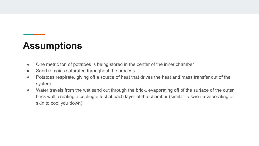## **Assumptions**

- One metric ton of potatoes is being stored in the center of the inner chamber
- Sand remains saturated throughout the process
- Potatoes respirate, giving off a source of heat that drives the heat and mass transfer out of the system
- Water travels from the wet sand out through the brick, evaporating off of the surface of the outer brick wall, creating a cooling effect at each layer of the chamber (similar to sweat evaporating off skin to cool you down)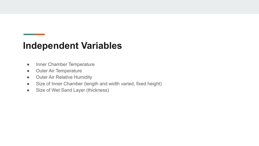### **Independent Variables**

- Inner Chamber Temperature
- Outer Air Temperature
- Outer Air Relative Humidity
- Size of Inner Chamber (length and width varied, fixed height)
- Size of Wet Sand Layer (thickness)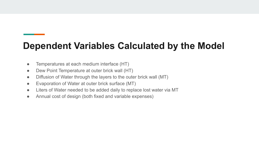# **Dependent Variables Calculated by the Model**

- Temperatures at each medium interface (HT)
- Dew Point Temperature at outer brick wall (HT)
- Diffusion of Water through the layers to the outer brick wall (MT)
- Evaporation of Water at outer brick surface (MT)
- Liters of Water needed to be added daily to replace lost water via MT
- Annual cost of design (both fixed and variable expenses)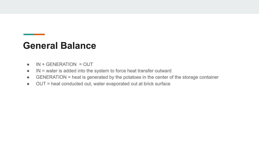#### **General Balance**

- $\bullet$  IN + GENERATION = OUT
- $\bullet$  IN = water is added into the system to force heat transfer outward
- GENERATION = heat is generated by the potatoes in the center of the storage container
- OUT = heat conducted out, water evaporated out at brick surface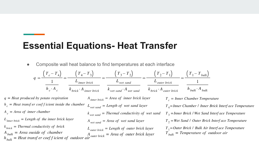#### **Essential Equations- Heat Transfer**

Composite wall heat balance to find temperatures at each interface

 $q = \frac{\left(T_c - T_4\right)}{1} = \frac{\left(T_4 - T_3\right)}{L_{inner~ brick}} = \frac{\left(T_3 - T_2\right)}{L_{wet~sand}} = \frac{\left(T_2 - T_1\right)}{L_{outer~ brick}} = \frac{\left(T_1 - T_{bulk}\right)}{1}$  $\overline{h_c \cdot A_c}$   $\overline{k_{brick} \cdot A_{inner brick}}$   $\overline{k_{wet sand} \cdot A_{wet sand}}$   $\overline{k_{brick} \cdot A_{outer brick}}$  $h_{bulk} \cdot A_{bulk}$  $q = Heat$  produced by potato respiration  $A_{inner~brick} = Area~of~inner~brick layer$  $T_c$  = Inner Chamber Temperature  $h_c$  = Heat transf er coef f icient inside the chamber  $L_{wet sand} = Length of wet sand layer$  $T_A$ =Inner Chamber / Inner Brick Interf ace Temperature  $A_c = Area$  of inner chamber  $k_{wet sand}$  = Thermal conductivity of wet sand  $T<sub>3</sub>$  = Inner Brick / Wet Sand Interf ace Temperature  $L_{inner~brick} = Length~of~the~inner~brick layer$  $T_2$  = Wet Sand / Outer Brick Interf ace Temperature  $A_{wet sand} = Area of wet sand layer$  $k_{\text{brick}}$  = Thermal conductivity of brick  $T_1 =$ Outer Brick / Bulk Air Interf ace Temperature  $L_{outer~brick} = Length~of~outer~brick layer$  $A_{bulk}$  = Area ouside of chamber<br>  $h_{bulk}$  = Heat transf er coef f icient of outdoor air outer brick = Area of outer brick layer<br>  $h_{bulk}$  = Heat transf er coef f icient of outdoor air outer brick = Area of outer brick layer  $T_{bulk}$  = Temperature of outdoor air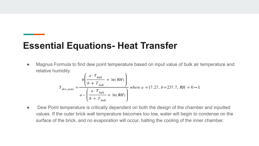## **Essential Equations- Heat Transfer**

● Magnus Formula to find dew point temperature based on input value of bulk air temperature and relative humidity.

$$
T_{dew\,point} = \frac{b\left(\frac{a \cdot T_{bulk}}{b + T_{bulk}} + \ln(RH)\right)}{a - \left(\frac{a \cdot T_{bulk}}{b + T_{bulk}} + \ln(RH)\right)}
$$
 where  $a = 17.27$ ,  $b = 237.7$ ,  $RH = 0 \rightarrow 1$ 

• Dew Point temperature is critically dependent on both the design of the chamber and inputted values. If the outer brick wall temperature becomes too low, water will begin to condense on the surface of the brick, and no evaporation will occur, halting the cooling of the inner chamber.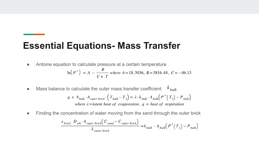#### **Essential Equations- Mass Transfer**

● Antoine equation to calculate pressure at a certain temperature

$$
\ln(P^*) = A - \frac{B}{C+T} \text{ where } A = 18.3036, B = 3816.44, C = -46.13
$$

● Mass balance to calculate the outer mass transfer coefficient  $k_{bulk}$ 

$$
q + h_{bulk} \cdot A_{outer~brick} \cdot \left(T_{bulk} - T_1\right) = \lambda \cdot k_{bulk} \cdot A_{bulk} \left(P^* \left(T_1\right) - P_{bulk}\right)
$$
  
where  $\lambda$  = latent heat of evaporation,  $q$  = heat of respiration

Finding the concentration of water moving from the sand through the outer brick

$$
\frac{\varepsilon_{\text{brick}} \cdot D_{\text{wb}} \cdot A_{\text{outer brick}} \left( C_{\text{sand}} - C_{\text{outer brick}} \right)}{L_{\text{outer brick}}} = k_{\text{bulk}} \cdot A_{\text{bulk}} \left( P^* \left( T_1 \right) - P_{\text{bulk}} \right)
$$